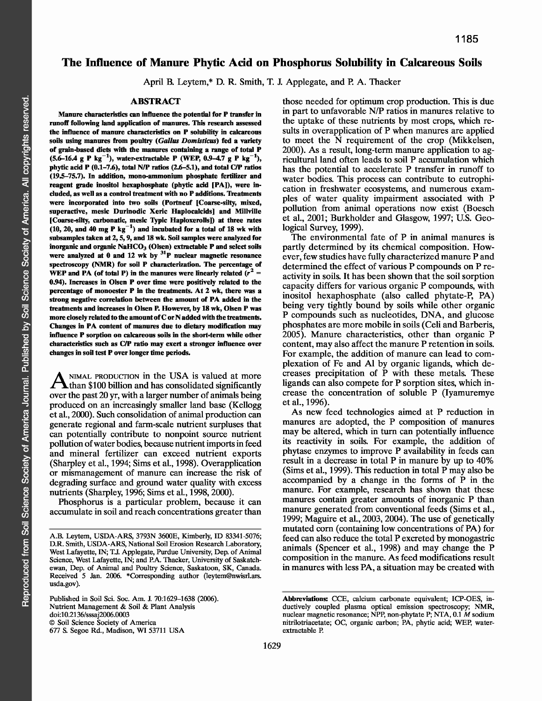# **The Influence of Manure Phytic Acid on Phosphorus Solubility in Calcareous Soils**

April B. Leytem,\* D. R. Smith, T. J. Applegate, and P. A. Thacker

### **ABSTRACT**

**Manure characteristics can influence the potential for P transfer in runoff following land application of manures. This research assessed the influence of manure characteristics on P solubility in calcareous soils using manures from poultry** *(Gallus Domisticus)* **fed a variety of grain-based diets with the manures containing a range of total P** (5.6-16.4 g P kg<sup>-1</sup>), water-extractable P (WEP, 0.9-4.7 g P kg<sup>-1</sup>), **phytic acid P (0.1-7.6), total N/P ratios (2.6-5.1), and total C/P ratios (19.5-75.7). In addition, mono-ammonium phosphate fertilizer and reagent grade inositol hexaphosphate (phytic acid [PA]), were included, as well as a control treatment with no P additions. Treatments were incorporated into two soils (Portneuf [Coarse-silty, mixed, superactive, mesic Durinodic Xeric Haplocalcids] and Millville [Coarse-silty, carbonatic, mesic Typic Haploxerolls]) at three rates**  $(10, 20,$  and  $40$  mg P kg<sup>-1</sup>) and incubated for a total of 18 wk with **subsamples taken at 2, 5, 9, and 18 wk. Soil samples were analyzed for** inorganic and organic NaHCO<sub>3</sub> (Olsen) extractable P and select soils **were analyzed at 0 and 12 wk by 31P nuclear magnetic resonance spectroscopy (NMR) for soil P characterization. The percentage of WEP and PA (of total P) in the manures were linearly related**  $(r^2 =$ **0.94). Increases in Olsen P over time were positively related to the percentage of monoester P in the treatments. At 2 wk, there was a strong negative correlation between the amount of PA added in the treatments and increases in Olsen P. However, by 18 wk, Olsen P was more closely related to the amount of C or N added with the treatments. Changes in PA content of manures due to dietary modification may influence P sorption on calcareous soils in the short-term while other characteristics such as C/P ratio may exert a stronger influence over changes in soil test P over longer time periods.**

A NIMAL PRODUCTION in the USA is valued at more NIMAL PRODUCTION in the USA is valued at more over the past 20 yr, with a larger number of animals being produced on an increasingly smaller land base (Kellogg et al., 2000). Such consolidation of animal production can generate regional and farm-scale nutrient surpluses that can potentially contribute to nonpoint source nutrient pollution of water bodies, because nutrient imports in feed and mineral fertilizer can exceed nutrient exports (Sharpley et al., 1994; Sims et al., 1998). Overapplication or mismanagement of manure can increase the risk of degrading surface and ground water quality with excess nutrients (Sharpley, 1996; Sims et al., 1998, 2000).

Phosphorus is a particular problem, because it can accumulate in soil and reach concentrations greater than

Published in Soil Sci. Soc. Am. J. 70:1629-1638 (2006). Nutrient Management & Soil & Plant Analysis doi:10.2136/sssaj2006.0003 © Soil Science Society of America 677 S. Segoe Rd., Madison, WI 53711 USA

those needed for optimum crop production. This is due in part to unfavorable N/P ratios in manures relative to the uptake of these nutrients by most crops, which results in overapplication of P when manures are applied to meet the N requirement of the crop (Mikkelsen, 2000). As a result, long-term manure application to agricultural land often leads to soil P accumulation which has the potential to accelerate P transfer in runoff to water bodies. This process can contribute to eutrophication in freshwater ecosystems, and numerous examples of water quality impairment associated with P pollution from animal operations now exist (Boesch et al., 2001; Burkholder and Glasgow, 1997; U.S. Geological Survey, 1999).

The environmental fate of P in animal manures is partly determined by its chemical composition. However, few studies have fully characterized manure P and determined the effect of various P compounds on P reactivity in soils. It has been shown that the soil sorption capacity differs for various organic P compounds, with inositol hexaphosphate (also called phytate-P, PA) being very tightly bound by soils while other organic P compounds such as nucleotides, DNA, and glucose phosphates are more mobile in soils (Celi and Barberis, 2005). Manure characteristics, other than organic P content, may also affect the manure P retention in soils. For example, the addition of manure can lead to complexation of Fe and Al by organic ligands, which decreases precipitation of P with these metals. These ligands can also compete for P sorption sites, which increase the concentration of soluble P (Iyamuremye et al., 1996).

As new feed technologies aimed at P reduction in manures are adopted, the P composition of manures may be altered, which in turn can potentially influence its reactivity in soils. For example, the addition of phytase enzymes to improve P availability in feeds can result in a decrease in total P in manure by up to 40% (Sims et al., 1999). This reduction in total P may also be accompanied by a change in the forms of P in the manure. For example, research has shown that these manures contain greater amounts of inorganic P than manure generated from conventional feeds (Sims et al., 1999; Maguire et al., 2003, 2004). The use of genetically mutated corn (containing low concentrations of PA) for feed can also reduce the total P excreted by monogastric animals (Spencer et al., 1998) and may change the P composition in the manure. As feed modifications result in manures with less PA, a situation may be created with

A.B. Leytem, USDA-ARS, 3793N 3600E, Kimberly, ID 83341-5076; D.R. Smith, USDA-ARS, National Soil Erosion Research Laboratory, West Lafayette, IN; T.J. Applegate, Purdue University, Dep. of Animal Science, West Lafayette, IN; and P.A. Thacker, University of Saskatchewan, Dep. of Animal and Poultry Science, Saskatoon, SK, Canada. Received 5 Jan. 2006. \*Corresponding author (leytem@nwisrl.ars. usda.gov).

**Abbreviations:** CCE, calcium carbonate equivalent; ICP-OES, inductively coupled plasma optical emission spectroscopy; NMR, nuclear magnetic resonance; NPP, non-phytate P; NTA, 0.1 M sodium nitrilotriacetate; OC, organic carbon; PA, phytic acid; WEP, waterextractable P.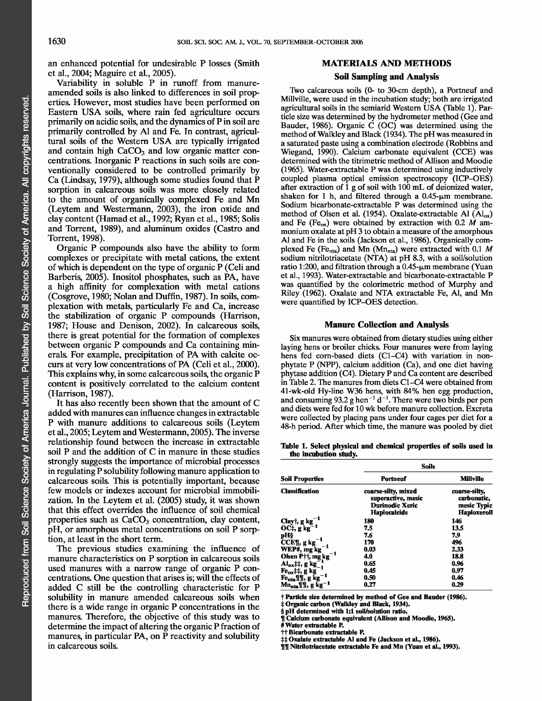an enhanced potential for undesirable P losses (Smith et al., 2004; Maguire et al., 2005).

Variability in soluble P in runoff from manureamended soils is also linked to differences in soil properties. However, most studies have been performed on Eastern USA soils, where rain fed agriculture occurs primarily on acidic soils, and the dynamics of P in soil are primarily controlled by Al and Fe. In contrast, agricultural soils of the Western USA are typically irrigated and contain high  $CaCO<sub>3</sub>$  and low organic matter concentrations. Inorganic P reactions in such soils are conventionally considered to be controlled primarily by Ca (Lindsay, 1979), although some studies found that P sorption in calcareous soils was more closely related to the amount of organically complexed Fe and Mn (Leytem and Westermann, 2003), the iron oxide and clay content (Hamad et al., 1992; Ryan et al., 1985; Solis and Torrent, 1989), and aluminum oxides (Castro and Torrent, 1998).

Organic P compounds also have the ability to form complexes or precipitate with metal cations, the extent of which is dependent on the type of organic P (Celi and Barberis, 2005). Inositol phosphates, such as PA, have a high affinity for complexation with metal cations (Cosgrove, 1980; Nolan and Duffin, 1987). In soils, complexation with metals, particularly Fe and Ca, increase the stabilization of organic P compounds (Harrison, 1987; House and Denison, 2002). In calcareous soils, there is great potential for the formation of complexes between organic P compounds and Ca containing minerals. For example, precipitation of PA with calcite occurs at very low concentrations of PA (Celi et al., 2000). This explains why, in some calcareous soils, the organic P content is positively correlated to the calcium content (Harrison, 1987).

It has also recently been shown that the amount of C added with manures can influence changes in extractable P with manure additions to calcareous soils (Leytem et al., 2005; Leytem and Westermann, 2005). The inverse relationship found between the increase in extractable soil P and the addition of C in manure in these studies strongly suggests the importance of microbial processes in regulating P solubility following manure application to calcareous soils. This is potentially important, because few models or indexes account for microbial immobilization. In the Leytem et al. (2005) study, it was shown that this effect overrides the influence of soil chemical properties such as  $CaCO<sub>3</sub>$  concentration, clay content, pH, or amorphous metal concentrations on soil P sorption, at least in the short term.

The previous studies examining the influence of manure characteristics on P sorption in calcareous soils used manures with a narrow range of organic P concentrations. One question that arises is; will the effects of added C still be the controlling characteristic for P solubility in manure amended calcareous soils when there is a wide range in organic P concentrations in the manures. Therefore, the objective of this study was to determine the impact of altering the organic P fraction of manures, in particular PA, on P reactivity and solubility in calcareous soils.

## **MATERIALS AND METHODS**

#### **Soil Sampling and Analysis**

Two calcareous soils (0- to 30-cm depth), a Portneuf and Millville, were used in the incubation study; both are irrigated agricultural soils in the semiarid Western USA (Table 1). Particle size was determined by the hydrometer method (Gee and Bauder, 1986). Organic C (OC) was determined using the method of Walkley and Black (1934). The pH was measured in a saturated paste using a combination electrode (Robbins and Wiegand, 1990). Calcium carbonate equivalent (CCE) was determined with the titrimetric method of Allison and Moodie (1965). Water-extractable P was determined using inductively coupled plasma optical emission spectroscopy (ICP-OES) after extraction of  $\overline{1}$  g of soil with 100 mL of deionized water, shaken for 1 h, and filtered through a  $0.45$ - $\mu$ m membrane. Sodium bicarbonate-extractable P was determined using the method of Olsen et al. (1954). Oxalate-extractable Al  $(\overline{Al}_{ox})$ and Fe (Fe<sub>ox</sub>) were obtained by extraction with 0.2  $\dot{M}$  ammonium oxalate at pH 3 to obtain a measure of the amorphous Al and Fe in the soils (Jackson et al., 1986). Organically complexed Fe (Fe<sub>nta</sub>) and Mn (Mn<sub>nta</sub>) were extracted with 0.1 M sodium nitrilotriacetate (NTA) at pH 8.3, with a soil/solution ratio 1:200, and filtration through a  $0.45$ - $\mu$ m membrane (Yuan et al., 1993). Water-extractable and bicarbonate-extractable P was quantified by the colorimetric method of Murphy and Riley (1962). Oxalate and NTA extractable Fe, Al, and Mn were quantified by ICP-OES detection.

#### **Manure Collection and Analysis**

Six manures were obtained from dietary studies using either laying hens or broiler chicks. Four manures were from laying hens fed corn-based diets (C1-C4) with variation in nonphytate P (NPP), calcium addition (Ca), and one diet having phytase addition (C4). Dietary P and Ca content are described in Table 2. The manures from diets C1-C4 were obtained from 41-wk-old Hy-line W36 hens, with 84% hen egg production, and consuming 93.2 g hen<sup>-1</sup> d<sup>-1</sup>. There were two birds per pen and diets were fed for 10 wk before manure collection. Excreta were collected by placing pans under four cages per diet for a 48-h period. After which time, the manure was pooled by diet

**Table 1. Select physical and chemical properties of soils used in the incubation study.**

|                                                                                                                      | Soils                                                                                      |                                                                                       |  |  |  |
|----------------------------------------------------------------------------------------------------------------------|--------------------------------------------------------------------------------------------|---------------------------------------------------------------------------------------|--|--|--|
| <b>Soil Properties</b>                                                                                               | <b>Portneuf</b>                                                                            | <b>Millville</b><br>coarse-silty,<br>carbonatic,<br>mesic Typic<br><b>Haploxeroll</b> |  |  |  |
| <b>Classification</b>                                                                                                | coarse-silty, mixed<br>superactive, mesic<br><b>Durinodic Xeric</b><br><b>Haplocalcids</b> |                                                                                       |  |  |  |
| Clay†, g kg <sup>-1</sup><br>OC‡, g kg <sup>-1</sup>                                                                 | 180                                                                                        | 146                                                                                   |  |  |  |
|                                                                                                                      | 7.5                                                                                        | 13.5                                                                                  |  |  |  |
| pH§                                                                                                                  | 7.6                                                                                        | 7.9                                                                                   |  |  |  |
| $CCE$ l, g kg <sup>-1</sup>                                                                                          | 170                                                                                        | 496                                                                                   |  |  |  |
| WEP#, $mg\ kg^{-1}$                                                                                                  | 0.03                                                                                       | 2.33                                                                                  |  |  |  |
|                                                                                                                      | 4.0                                                                                        | 18.8                                                                                  |  |  |  |
| Olsen P††, mg kg <sup>-1</sup><br>Al <sub>ox</sub> ‡‡, g kg <sup>-1</sup><br>Fe <sub>ox</sub> ‡‡, g kg <sup>-1</sup> | 0.65                                                                                       | 0.96                                                                                  |  |  |  |
|                                                                                                                      | 0.45                                                                                       | 0.97                                                                                  |  |  |  |
| Fenta III, g $kg^{-1}$                                                                                               | 0.50                                                                                       | 0.46                                                                                  |  |  |  |
| $\mathbf{Mn_{nta}}$ ¶¶, g kg $^{-1}$                                                                                 | 0.27                                                                                       | 0.29                                                                                  |  |  |  |

**t Particle size determined by method of Gee and Bauder (1986).**

**\* Organic carbon (Walkley and Black, 1934).**

§ **pH determined with** 1:1 **soWsolution ratio.**

**<sup>11</sup>Calcium carbonate equivalent (Allison and Moodie, 1965).**

# Water **extractable P.**

tt **Bicarbonate extractable P.**

**\*\*Oxalate extractable Al and Fe (Jackson et al., 1986).**

**1111Nitrilotriacetate extractable Fe and Mn (Yuan et al., 1993).**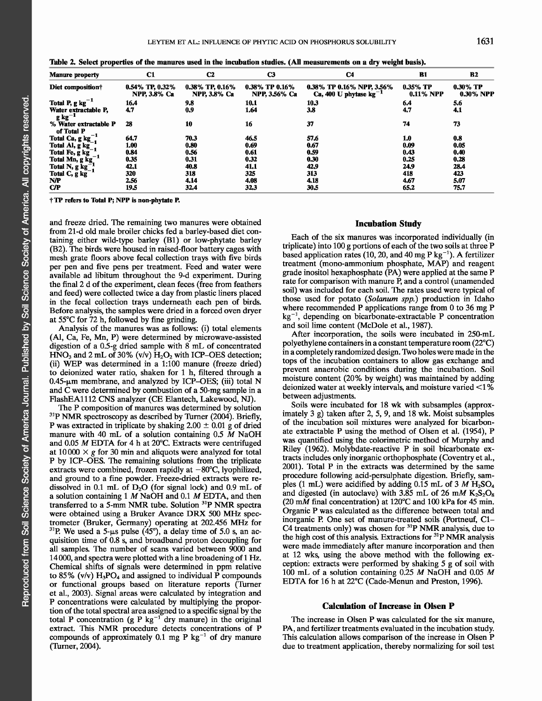| <b>Manure property</b>                                       | C1                                     | C <sub>2</sub>                         | C3                              | C4                                                       | <b>B1</b>                       | <b>B2</b>                       |
|--------------------------------------------------------------|----------------------------------------|----------------------------------------|---------------------------------|----------------------------------------------------------|---------------------------------|---------------------------------|
| Diet composition?                                            | 0.54% TP, 0.32%<br><b>NPP, 3.8% Ca</b> | 0.38% TP, 0.16%<br><b>NPP, 3.8% Ca</b> | 0.38% TP 0.16%<br>NPP, 3.56% Ca | 0.38% TP 0.16% NPP, 3.56%<br>Ca, 400 U phytase $kg^{-1}$ | $0.35\%$ TP<br><b>0.11% NPP</b> | $0.30\%$ TP<br><b>0.30% NPP</b> |
| Total P, $g kg^{-1}$                                         | 16.4                                   | 9.8                                    | 10.1                            | 10.3                                                     | 6,4                             | 5.6                             |
| Water extractable P,<br>$g kg^{-1}$                          | 4.7                                    | 0.9                                    | 1.64                            | 3.8                                                      | 4.7                             | 4,1                             |
| % Water extractable P<br>of Total P                          | 28                                     | 10                                     | 16                              | 37                                                       | 74                              | 73                              |
| Total Ca, $g kg_1^{-1}$<br>Total Al, $g kg_1^{-1}$           | 64.7                                   | 70.3                                   | 46.5                            | 57.6                                                     | 1.0                             | 0.8                             |
|                                                              | 1.00                                   | 0.80                                   | 0.69                            | 0.67                                                     | 0.09                            | 0.05                            |
|                                                              | 0.84                                   | 0.56                                   | 0.61                            | 0.59                                                     | 0.43                            | 0.40                            |
| Total Fe, g kg <sup>-</sup><br>Total Mn, g kg <sup>-</sup>   | 0.35                                   | 0.31                                   | 0.32                            | 0.30                                                     | 0.25                            | 0.28                            |
| Total N, $g \text{ kg}^{-1}$<br>Total C, $g \text{ kg}^{-1}$ | 42.1                                   | 40.8                                   | 41.1                            | 42.9                                                     | 24.9                            | 28.4                            |
|                                                              | 320                                    | 318                                    | 325                             | 313                                                      | 418                             | 423                             |
| <b>N/P</b>                                                   | 2.56                                   | 4.14                                   | 4.08                            | 4.18                                                     | 4.67                            | 5.07                            |
| C/P                                                          | 19.5                                   | 32.4                                   | 32.3                            | 30.5                                                     | 65.2                            | 75.7                            |

|  | Table 2. Select properties of the manures used in the incubation studies. (All measurements on a dry weight basis) |  |  |  |
|--|--------------------------------------------------------------------------------------------------------------------|--|--|--|
|  |                                                                                                                    |  |  |  |

**t TP refers to Total P; NPP is non-phytate P.**

and freeze dried. The remaining two manures were obtained from 21-d old male broiler chicks fed a barley-based diet containing either wild-type barley (B1) or low-phytate barley (B2). The birds were housed in raised-floor battery cages with mesh grate floors above fecal collection trays with five birds per pen and five pens per treatment. Feed and water were available ad libitum throughout the 9-d experiment. During the final 2 d of the experiment, clean feces (free from feathers and feed) were collected twice a day from plastic liners placed in the fecal collection trays underneath each pen of birds. Before analysis, the samples were dried in a forced oven dryer at 55°C for 72 h, followed by fine grinding.

Analysis of the manures was as follows: (i) total elements (Al, Ca, Fe, Mn, P) were determined by microwave-assisted digestion of a 0.5-g dried sample with 8 mL of concentrated HNO<sub>3</sub> and 2 mL of 30% (v/v)  $H_2O_2$  with ICP-OES detection; (ii) WEP was determined in a 1:100 manure (freeze dried) to deionized water ratio, shaken for 1 h, filtered through a  $0.45$ - $\mu$ m membrane, and analyzed by ICP-OES; (iii) total N and C were determined by combustion of a 50-mg sample in a FlashEA1112 CNS analyzer (CE Elantech, Lakewood, NJ).

The P composition of manures was determined by solution  $31P$  NMR spectroscopy as described by Turner (2004). Briefly, P was extracted in triplicate by shaking  $2.00 \pm 0.01$  g of dried manure with 40 mL of a solution containing 0.5 *M* NaOH and 0.05 *M* EDTA for 4 h at 20°C. Extracts were centrifuged at  $10000 \times g$  for 30 min and aliquots were analyzed for total P by ICP-OES. The remaining solutions from the triplicate extracts were combined, frozen rapidly at  $-80^{\circ}$ C, lyophilized, and ground to a fine powder. Freeze-dried extracts were redissolved in 0.1 mL of  $D_2O$  (for signal lock) and 0.9 mL of a solution containing 1 *M* NaOH and 0.1 *M* EDTA, and then transferred to a 5-mm NMR tube. Solution <sup>31</sup>P NMR spectra were obtained using a Bruker Avance DRX 500 MHz spectrometer (Bruker, Germany) operating at 202.456 MHz for  $^{31}$ P. We used a 5-ps pulse (45°), a delay time of 5.0 s, an acquisition time of 0.8 s, and broadband proton decoupling for all samples. The number of scans varied between 9000 and 14 000, and spectra were plotted with a line broadening of 1 Hz. Chemical shifts of signals were determined in ppm relative to 85% (v/v)  $H_3PO_4$  and assigned to individual P compounds or functional groups based on literature reports (Turner et al., 2003). Signal areas were calculated by integration and P concentrations were calculated by multiplying the proportion of the total spectral area assigned to a specific signal by the total P concentration (g P kg<sup>-1</sup> dry manure) in the original extract. This NMR procedure detects concentrations of P compounds of approximately 0.1 mg P  $kg^{-1}$  of dry manure (Turner, 2004).

#### **Incubation Study**

Each of the six manures was incorporated individually (in triplicate) into 100 g portions of each of the two soils at three P based application rates (10, 20, and 40 mg P kg<sup>-1</sup>). A fertilizer treatment (mono-ammonium phosphate, MAP) and reagent grade inositol hexaphosphate (PA) were applied at the same P rate for comparison with manure P, and a control (unamended soil) was included for each soil. The rates used were typical of those used for potato *(Solanum spp.)* production in Idaho where recommended P applications range from 0 to 36 mg P  $kg^{-1}$ , depending on bicarbonate-extractable P concentration and soil lime content (McDole et al., 1987).

After incorporation, the soils were incubated in 250-mL polyethylene containers in a constant temperature room (22°C) in a completely randomized design. Two holes were made in the tops of the incubation containers to allow gas exchange and prevent anaerobic conditions during the incubation. Soil moisture content (20% by weight) was maintained by adding deionized water at weekly intervals, and moisture varied <1% between adjustments.

Soils were incubated for 18 wk with subsamples (approximately 3 g) taken after 2, 5, 9, and 18 wk. Moist subsamples of the incubation soil mixtures were analyzed for bicarbonate extractable P using the method of Olsen et al. (1954), P was quantified using the colorimetric method of Murphy and Riley (1962). Molybdate-reactive P in soil bicarbonate extracts includes only inorganic orthophosphate (Coventry et al., 2001). Total P in the extracts was determined by the same procedure following acid-persulphate digestion. Briefly, samples (1 mL) were acidified by adding  $0.15$  mL of 3  $M$   $H_2SO_4$ and digested (in autoclave) with 3.85 mL of 26 mM  $K_2S_2O_8$ (20 **mAl** final concentration) at 120°C and 100 kPa for 45 min. Organic P was calculated as the difference between total and inorganic P. One set of manure-treated soils (Portneuf, C1- C4 treatments only) was chosen for <sup>31</sup>P NMR analysis, due to the high cost of this analysis. Extractions for <sup>31</sup>P NMR analysis were made immediately after manure incorporation and then at 12 wks, using the above method with the following exception: extracts were performed by shaking 5 g of soil with 100 mL of a solution containing 0.25 *M* NaOH and 0.05 *M* EDTA for 16 h at 22°C (Cade-Menun and Preston, 1996).

#### **Calculation of Increase in Olsen P**

The increase in Olsen P was calculated for the six manure, PA, and fertilizer treatments evaluated in the incubation study. This calculation allows comparison of the increase in Olsen P due to treatment application, thereby normalizing for soil test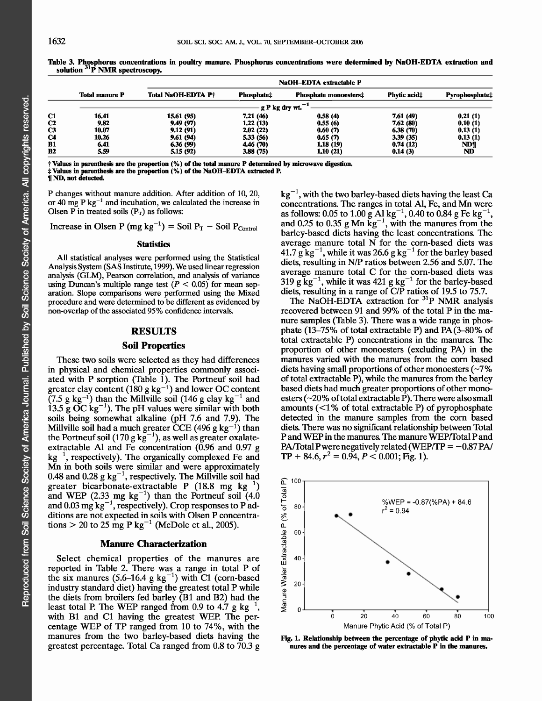|    | <b>Total manure P</b> | <b>Total NaOH-EDTA P+</b> | <b>Phosphate#</b> | <b>Phosphate monoesters:</b> | <b>Phytic acid</b> # | Pyrophosphate‡ |
|----|-----------------------|---------------------------|-------------------|------------------------------|----------------------|----------------|
|    |                       |                           | g P kg dry wt.    |                              |                      |                |
| C1 | 16.41                 | 15.61 (95)                | 7.21 (46)         | 0.58(4)                      | 7.61 (49)            | 0.21(1)        |
| C2 | 9.82                  | 9.49 (97)                 | 1,22 (13)         | 0.55(6)                      | 7.62 (80)            | 0.10(1)        |
| C3 | 10.07                 | 9.12(91)                  | 2,02(22)          | 0.60(7)                      | 6.38(70)             | 0.13(1)        |
| C4 | 10.26                 | 9.61(94)                  | 5.33 (56)         | 0.65(7)                      | 3.39(35)             | 0.13(1)        |
| B1 | 6.41                  | 6.36 (99)                 | 4,46 (70)         | 1.18(19)                     | 0.74(12)             | <b>ND¶</b>     |
| B2 | 5.59                  | 5.15 (92)                 | 3.88(75)          | 1,10 (21)                    | 0.14(3)              | ND             |
|    |                       |                           |                   |                              |                      |                |

**Table 3. Phosphorus concentrations in poultry manure. Phosphorus concentrations were determined by NaOH-EDTA extraction and solution** 31**P NMR spectroscopy.**

**t Values in parenthesis are the proportion** (%) **of the total manure P determined by microwave digestion.** \* **Values in parenthesis are the proportion** (%) **of the NaOH-EDTA extracted P. IIND, not detected.**

P changes without manure addition. After addition of 10, 20, or 40 mg P  $kg^{-1}$  and incubation, we calculated the increase in Olsen P in treated soils  $(P_T)$  as follows:

Increase in Olsen P (mg kg<sup>-1</sup>) = Soil  $P_T$  - Soil  $P_{Control}$ 

#### **Statistics**

All statistical analyses were performed using the Statistical Analysis System (SAS Institute, 1999). We used linear regression analysis (GLM), Pearson correlation, and analysis of variance using Duncan's multiple range test  $(P < 0.05)$  for mean separation. Slope comparisons were performed using the Mixed procedure and were determined to be different as evidenced by non-overlap of the associated 95% confidence intervals.

# **RESULTS**

# **Soil Properties**

These two soils were selected as they had differences in physical and chemical properties commonly associated with P sorption (Table 1). The Portneuf soil had greater clay content (180 g kg<sup>-1</sup>) and lower OC content  $(7.5 \text{ g kg}^{-1})$  than the Millville soil (146 g clay kg<sup>-1</sup> and 13.5  $\angle$  OC kg<sup>-1</sup>). The pH values were similar with both soils being somewhat alkaline (pH 7.6 and 7.9). The Millville soil had a much greater CCE (496 g kg<sup>-1</sup>) than the Portneuf soil (170 g  $kg^{-1}$ ), as well as greater oxalateextractable Al and Fe concentration (0.96 and 0.97 g  $kg^{-1}$ , respectively). The organically complexed Fe and Mn in both soils were similar and were approximately 0.48 and 0.28  $g kg^{-1}$ , respectively. The Millville soil had greater bicarbonate-extractable P (18.8 mg  $kg^$ and WEP (2.33 mg  $kg^{-1}$ ) than the Portneuf soil (4.0) and 0.03 mg  $kg^{-1}$ , respectively). Crop responses to P additions are not expected in soils with Olsen P concentrations  $>$  20 to 25 mg P kg<sup>-1</sup> (McDole et al., 2005).

### **Manure Characterization**

Select chemical properties of the manures are reported in Table 2. There was a range in total P of the six manures  $(5.6-16.4 \text{ g kg}^{-1})$  with C1 (corn-based industry standard diet) having the greatest total P while the diets from broilers fed barley (B1 and B2) had the least total P. The WEP ranged from 0.9 to 4.7  $g kg^{-1}$ , with B1 and C1 having the greatest WEP. The percentage WEP of TP ranged from 10 to 74%, with the manures from the two barley-based diets having the greatest percentage. Total Ca ranged from 0.8 to 70.3 g

 $kg^{-1}$ , with the two barley-based diets having the least Ca concentrations. The ranges in total Al, Fe, and Mn were as follows: 0.05 to 1.00 g Al kg $^{-1}$ , 0.40 to 0.84 g Fe kg $^{-1}$ , and 0.25 to 0.35 g Mn  $kg^{-1}$ , with the manures from the barley-based diets having the least concentrations. The average manure total N for the corn-based diets was 41.7  $g$  kg<sup>-1</sup>, while it was 26.6 g kg<sup>-1</sup> for the barley based diets, resulting in N/P ratios between 2.56 and 5.07. The average manure total C for the corn-based diets was 319 g  $kg^{-1}$ , while it was 421 g  $kg^{-1}$  for the barley-based diets, resulting in a range of C/P ratios of 19.5 to 75.7.

The NaOH-EDTA extraction for <sup>31</sup>P NMR analysis recovered between 91 and 99% of the total P in the manure samples (Table 3). There was a wide range in phosphate (13-75% of total extractable P) and PA (3-80% of total extractable P) concentrations in the manures. The proportion of other monoesters (excluding PA) in the manures varied with the manures from the corn based diets having small proportions of other monoesters  $(\sim 7\%$ of total extractable P), while the manures from the barley based diets had much greater proportions of other monoesters ( $\sim$ 20% of total extractable P). There were also small amounts (<1% of total extractable P) of pyrophosphate detected in the manure samples from the corn based diets. There was no significant relationship between Total P and WEP in the manures. The manure WEP/Total P and PA/Total P were negatively related (WEP/TP  $= -0.87$  PA/  $TP + 84.6, r^2 = 0.94, P < 0.001$ ; Fig. 1).



**Fig. 1. Relationship between the percentage of phytic acid P in manures and the percentage of water extractable P in the manures.**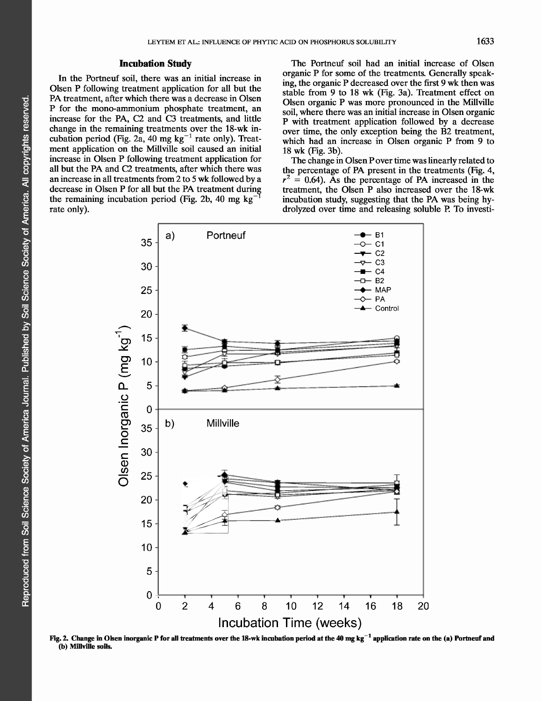# **Incubation Study**

In the Portneuf soil, there was an initial increase in Olsen P following treatment application for all but the PA treatment, after which there was a decrease in Olsen P for the mono-ammonium phosphate treatment, an increase for the PA, C2 and C3 treatments, and little change in the remaining treatments over the 18-wk incubation period (Fig. 2a, 40 mg  $kg^{-1}$  rate only). Treatment application on the Millville soil caused an initial increase in Olsen P following treatment application for all but the PA and C2 treatments, after which there was an increase in all treatments from 2 to 5 wk followed by a decrease in Olsen P for all but the PA treatment during the remaining incubation period (Fig. 2b, 40 mg  $kg^$ rate only).

The Portneuf soil had an initial increase of Olsen organic P for some of the treatments. Generally speaking, the organic P decreased over the first 9 wk then was stable from 9 to 18 wk (Fig. 3a). Treatment effect on Olsen organic P was more pronounced in the Millville soil, where there was an initial increase in Olsen organic P with treatment application followed by a decrease over time, the only exception being the B2 treatment, which had an increase in Olsen organic P from 9 to 18 wk (Fig. 3b).

The change in Olsen P over time was linearly related to the percentage of PA present in the treatments (Fig. 4,  $r^2 = 0.64$ ). As the percentage of PA increased in the treatment, the Olsen P also increased over the 18-wk incubation study, suggesting that the PA was being hydrolyzed over time and releasing soluble P. To investi-



**Fig. 2. Change in Olsen inorganic P for all treatments over the 18-wk incubation period at the 40 mg kg -1 application rate on the (a) Porineuf and (b) Millville soils.**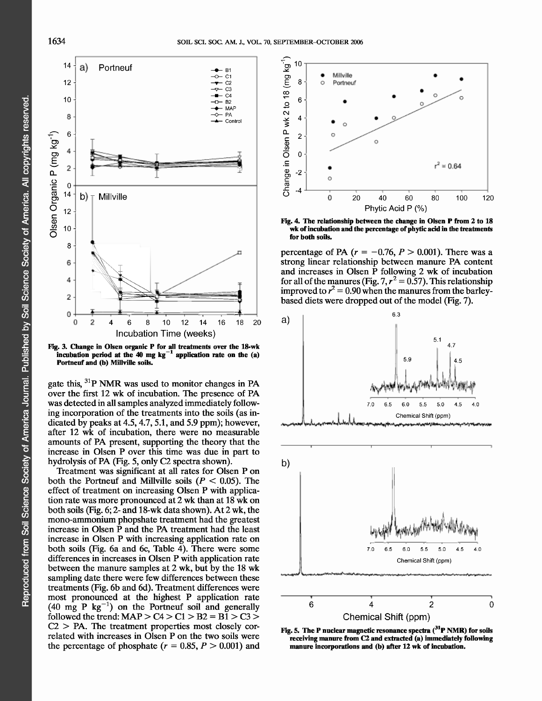

**Ng. 3. Change in Olsen organic P for all treatments over the 18-wk** incubation period at the  $40$  mg  $kg^{-1}$  application rate on the  $(a)$ **Portneuf and (b) Millville soils.**

gate this,  ${}^{31}P$  NMR was used to monitor changes in PA over the first 12 wk of incubation. The presence of PA was detected in all samples analyzed immediately following incorporation of the treatments into the soils (as indicated by peaks at 4.5, 4.7, 5.1, and 5.9 ppm); however, after 12 wk of incubation, there were no measurable amounts of PA present, supporting the theory that the increase in Olsen P over this time was due in part to hydrolysis of PA (Fig. 5, only C2 spectra shown).

Treatment was significant at all rates for Olsen P on both the Portneuf and Millville soils  $(P < 0.05)$ . The effect of treatment on increasing Olsen P with application rate was more pronounced at 2 wk than at 18 wk on both soils (Fig. 6; 2- and 18-wk data shown). At 2 wk, the mono-ammonium phopshate treatment had the greatest increase in Olsen P and the PA treatment had the least increase in Olsen P with increasing application rate on both soils (Fig. 6a and 6c, Table  $\overline{4}$ ). There were some differences in increases in Olsen P with application rate between the manure samples at 2 wk, but by the 18 wk sampling date there were few differences between these treatments (Fig. 6b and 6d). Treatment differences were most pronounced at the highest P application rate  $(40 \text{ mg } P \text{ kg}^{-1})$  on the Portneuf soil and generally followed the trend:  $MAP > CA > C1 > B2 = B1 > C3 >$  $C2 > PA$ . The treatment properties most closely correlated with increases in Olsen P on the two soils were the percentage of phosphate  $(r = 0.85, P > 0.001)$  and



**Ng. 4. The relationship between the change in Olsen P from 2 to 18 wk of incubation and the percentage of phytic acid in the treatments for both soils.**

percentage of PA  $(r = -0.76, P > 0.001)$ . There was a strong linear relationship between manure PA content and increases in Olsen P following 2 wk of incubation for all of the manures (Fig. 7,  $r^2 = 0.57$ ). This relationship improved to  $r^2 = 0.90$  when the manures from the barleybased diets were dropped out of the model (Fig. 7).



**Ng. 5. The P nuclear magnetic resonance spectra (31P NMR) for soils receiving manure from C2 and extracted (a) immediately following manure incorporations and (b) after 12 wk of incubation.**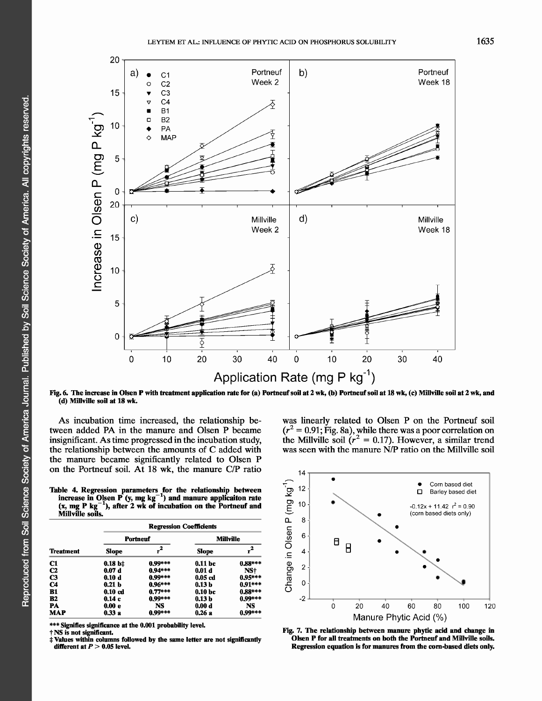

**Fig. 6. The increase in Olsen P with treatment application rate for (a) Portneuf soil at 2 wk, (b) Portneuf soil at 18 wk, (c) Millville soil at 2 wk, and (d) Millville soil at 18 wk.**

As incubation time increased, the relationship between added PA in the manure and Olsen P became insignificant. As time progressed in the incubation study, the relationship between the amounts of C added with the manure became significantly related to Olsen P on the Portneuf soil. At 18 wk, the manure C/P ratio

**Table 4. Regression parameters for the relationship between increase in Olsen** P (y, **mg** kg-1) **and manure applicaiton rate** -  $(x, mg P kg<sup>-1</sup>)$ , after 2 wk of incubation on the Portneuf and **Millville soils.**

| <b>Treatment</b> | <b>Regression Coefficients</b> |           |                   |           |  |  |
|------------------|--------------------------------|-----------|-------------------|-----------|--|--|
|                  |                                | Portneuf  | <b>Millville</b>  |           |  |  |
|                  | Slope                          |           | <b>Slope</b>      | $r^2$     |  |  |
| C1               | $0.18 b$ ‡                     | $0.99***$ | 0.11 bc           | $0.88***$ |  |  |
| $\bf c2$         | 0.07d                          | $0.94***$ | 0.01 d            | NS†       |  |  |
| C3               | 0.10d                          | $0.99***$ | $0.05$ $cd$       | $0.95***$ |  |  |
| C4               | 0.21 <sub>b</sub>              | $0.96***$ | 0.13 <sub>b</sub> | $0.91***$ |  |  |
| B1               | $0.10$ $cd$                    | $0.77***$ | 0.10 <sub>b</sub> | $0.88***$ |  |  |
| B2               | 0.14c                          | $0.99***$ | 0.13 <sub>b</sub> | $0.99***$ |  |  |
| PA               | 0.00 e                         | NS        | 0.00 d            | NS        |  |  |
| MAP              | 0.33a                          | $0.99***$ | 0.26a             | $0.99***$ |  |  |

\*\*\* **Signifies significance at the 0.001 probability level.**

t NS **is not significant.**

**\* Values within columns followed by the same letter are not significantly different at** *P >* **0.05 level.**

14 •  $\bullet$  Corn based diet<br>  $\Box$  Barley based die  $12$ Barley based diet 10  $-0.12x + 11.42$   $r^2 = 0.90$ (corn based diets only) • 8 •  $\sum_{1}^{8}$ 8  $\overline{B}$ 4- •\_ • • e<br>Change<br><sup>o</sup> 2 0 20 40 60 80 100 120 Manure Phytic Acid (%)

was linearly related to Olsen P on the Portneuf soil  $(r^2 = 0.91;$  Fig. 8a), while there was a poor correlation or the Millville soil ( $r^2 = 0.17$ ). However, a similar trend was seen with the manure N/P ratio on the Millville soil

**Fig.** 7. **The relationship between manure phytic acid and change in Olsen P for all treatments on both the Portneuf and Millville soils. Regression equation is for manures from the corn-based diets only.**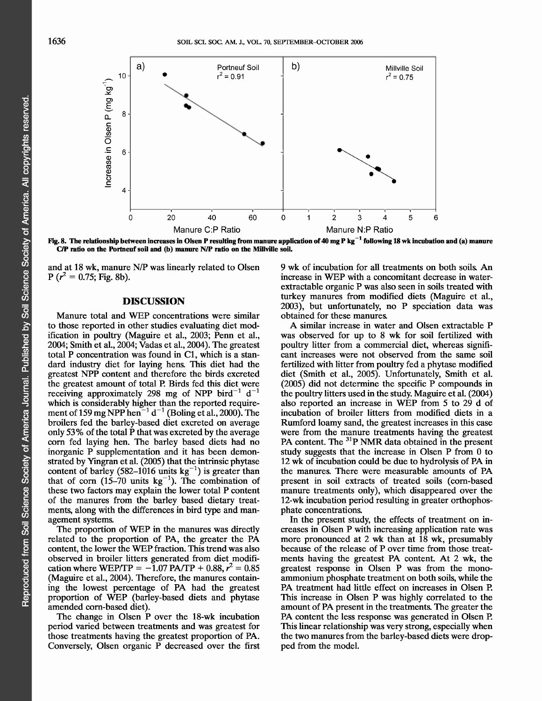

- **Fig. 8. The relationship between increases in Olsen P resulting from manure application of 40 mg P kg 1 following 18 wk incubation and (a) manure C/P ratio on the Portneuf soil and (b) manure N/P ratio on the Millville soil.**

and at 18 wk, manure N/P was linearly related to Olsen  $P(r^2 = 0.75; Fig. 8b)$ .

# **DISCUSSION**

Manure total and WEP concentrations were similar to those reported in other studies evaluating diet modification in poultry (Maguire et al., 2003; Penn et al., 2004; Smith et al., 2004; Vadas et al., 2004). The greatest total P concentration was found in Cl, which is a standard industry diet for laying hens. This diet had the greatest NPP content and therefore the birds excreted the greatest amount of total P. Birds fed this diet were receiving approximately 298 mg of NPP bird<sup>-1</sup> d<sup>-1</sup> which is considerably higher than the reported requirement of 159 mg NPP hen<sup>-1</sup> d<sup>-1</sup> (Boling et al., 2000). The broilers fed the barley-based diet excreted on average only 53% of the total P that was excreted by the average corn fed laying hen. The barley based diets had no inorganic P supplementation and it has been demonstrated by Yingran et al. (2005) that the intrinsic phytase content of barley (582-1016 units  $kg^{-1}$ ) is greater than that of corn  $(15-70 \text{ units kg}^{-1})$ . The combination of these two factors may explain the lower total P content of the manures from the barley based dietary treatments, along with the differences in bird type and management systems.

The proportion of WEP in the manures was directly related to the proportion of PA, the greater the PA content, the lower the WEP fraction. This trend was also observed in broiler litters generated from diet modification where WEP/TP =  $-1.07$  PA/TP + 0.88,  $r^2 = 0.85$ (Maguire et al., 2004). Therefore, the manures containing the lowest percentage of PA had the greatest proportion of WEP (barley-based diets and phytase amended corn-based diet).

The change in Olsen P over the 18-wk incubation period varied between treatments and was greatest for those treatments having the greatest proportion of PA. Conversely, Olsen organic P decreased over the first 9 wk of incubation for all treatments on both soils. An increase in WEP with a concomitant decrease in waterextractable organic P was also seen in soils treated with turkey manures from modified diets (Maguire et al., 2003), but unfortunately, no P speciation data was obtained for these manures.

A similar increase in water and Olsen extractable P was observed for up to 8 wk for soil fertilized with poultry litter from a commercial diet, whereas significant increases were not observed from the same soil fertilized with litter from poultry fed a phytase modified diet (Smith et al., 2005). Unfortunately, Smith et al. (2005) did not determine the specific P compounds in the poultry litters used in the study. Maguire et al. (2004) also reported an increase in WEP from 5 to 29 d of incubation of broiler litters from modified diets in a Rumford loamy sand, the greatest increases in this case were from the manure treatments having the greatest PA content. The <sup>31</sup>P NMR data obtained in the present study suggests that the increase in Olsen P from 0 to 12 wk of incubation could be due to hydrolysis of PA in the manures. There were measurable amounts of PA present in soil extracts of treated soils (corn-based manure treatments only), which disappeared over the 12-wk incubation period resulting in greater orthophosphate concentrations.

In the present study, the effects of treatment on increases in Olsen P with increasing application rate was more pronounced at 2 wk than at  $18$  wk, presumably because of the release of P over time from those treatments having the greatest PA content. At 2 wk, the greatest response in Olsen P was from the monoammonium phosphate treatment on both soils, while the PA treatment had little effect on increases in Olsen P. This increase in Olsen P was highly correlated to the amount of PA present in the treatments. The greater the PA content the less response was generated in Olsen P. This linear relationship was very strong, especially when the two manures from the barley-based diets were dropped from the model.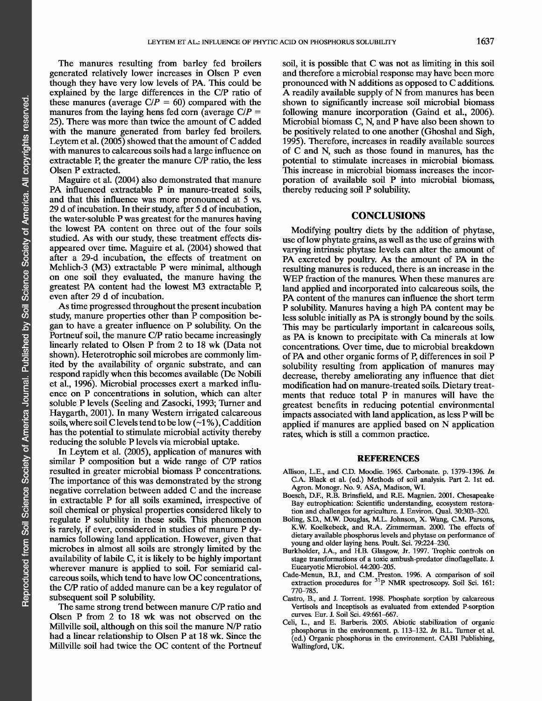The manures resulting from barley fed broilers generated relatively lower increases in Olsen P even though they have very low levels of PA. This could be explained by the large differences in the C/P ratio of these manures (average  $C/P = 60$ ) compared with the manures from the laying hens fed corn (average  $C/P =$ 25). There was more than twice the amount of C added with the manure generated from barley fed broilers. Leytem et al. (2005) showed that the amount of C added with manures to calcareous soils had a large influence on extractable P, the greater the manure C/P ratio, the less Olsen P extracted.

Maguire et al. (2004) also demonstrated that manure PA influenced extractable P in manure-treated soils, and that this influence was more pronounced at 5 vs. 29 d of incubation. In their study, after 5 d of incubation, the water-soluble P was greatest for the manures having the lowest PA content on three out of the four soils studied. As with our study, these treatment effects disappeared over time. Maguire et al. (2004) showed that after a 29-d incubation, the effects of treatment on Mehlich-3 (M3) extractable P were minimal, although on one soil they evaluated, the manure having the greatest PA content had the lowest M3 extractable P, even after 29 d of incubation.

As time progressed throughout the present incubation study, manure properties other than P composition began to have a greater influence on P solubility. On the Portneuf soil, the manure C/P ratio became increasingly linearly related to Olsen P from 2 to 18 wk (Data not shown). Heterotrophic soil microbes are commonly limited by the availability of organic substrate, and can respond rapidly when this becomes available (De Nobili et al., 1996). Microbial processes exert a marked influence on P concentrations in solution, which can alter soluble P levels (Seeling and Zasocki, 1993; Turner and Haygarth, 2001). In many Western irrigated calcareous soils, where soil C levels tend to be low  $(\sim 1\%)$ , C addition has the potential to stimulate microbial activity thereby reducing the soluble P levels via microbial uptake.

In Leytem et al. (2005), application of manures with similar P composition but a wide range of C/P ratios resulted in greater microbial biomass P concentrations. The importance of this was demonstrated by the strong negative correlation between added C and the increase in extractable P for all soils examined, irrespective of soil chemical or physical properties considered likely to regulate P solubility in these soils. This phenomenon is rarely, if ever, considered in studies of manure P dynamics following land application. However, given that microbes in almost all soils are strongly limited by the availability of labile C, it is likely to be highly important wherever manure is applied to soil. For semiarid calcareous soils, which tend to have low OC concentrations, the C/P ratio of added manure can be a key regulator of subsequent soil P solubility.

The same strong trend between manure C/P ratio and Olsen P from 2 to 18 wk was not observed on the Millville soil, although on this soil the manure N/P ratio had a linear relationship to Olsen P at 18 wk. Since the Millville soil had twice the OC content of the Portneuf soil, it is possible that C was not as limiting in this soil and therefore a microbial response may have been more pronounced with N additions as opposed to C additions. A readily available supply of N from manures has been shown to significantly increase soil microbial biomass following manure incorporation (Gaind et al., 2006). Microbial biomass C, N, and P have also been shown to be positively related to one another (Ghoshal and Sigh, 1995). Therefore, increases in readily available sources of C and N, such as those found in manures, has the potential to stimulate increases in microbial biomass. This increase in microbial biomass increases the incorporation of available soil P into microbial biomass, thereby reducing soil P solubility.

# **CONCLUSIONS**

Modifying poultry diets by the addition of phytase, use of low phytate grains, as well as the use of grains with varying intrinsic phytase levels can alter the amount of PA excreted by poultry. As the amount of PA in the resulting manures is reduced, there is an increase in the WEP fraction of the manures. When these manures are land applied and incorporated into calcareous soils, the PA content of the manures can influence the short term P solubility. Manures having a high PA content may be less soluble initially as PA is strongly bound by the soils. This may be particularly important in calcareous soils, as PA is known to precipitate with Ca minerals at low concentrations. Over time, due to microbial breakdown of PA and other organic forms of P, differences in soil P solubility resulting from application of manures may decrease, thereby ameliorating any influence that diet modification had on manure-treated soils. Dietary treatments that reduce total P in manures will have the greatest benefits in reducing potential environmental impacts associated with land application, as less P will be applied if manures are applied based on N application rates, which is still a common practice.

### **REFERENCES**

- Allison, L.E., and C.D. Moodie. 1965. Carbonate. p. 1379-1396. *In* C.A. Black et al. (ed.) Methods of soil analysis. Part 2. 1st ed. Agron. Monogr. No. 9. ASA, Madison, WI.
- Boesch, D.F., R.B. Brinsfield, and R.E. Magnien. 2001. Chesapeake Bay eutrophication: Scientific understanding, ecosystem restoration and challenges for agriculture. J. Environ. Qual. 30:303-320.
- Boling, S.D., M.W. Douglas, M.L. Johnson, X. Wang, C.M. Parsons, K.W. Koelkebeck, and R.A. Zimmerman. 2000. The effects of dietary available phosphorus levels and phytase on performance of young and older laying hens. Poult. Sci. 79:224-230.
- Burkholder, J.A., and H.B. Glasgow, Jr. 1997. Trophic controls on stage transformations of a toxic ambush-predator dinoflagellate. J. Eucaryotic Microbiol. 44:200-205.
- Cade-Menun, B.J., and C.M. Preston. 1996. A comparison of soil extraction procedures for <sup>31</sup>P NMR spectroscopy. Soil Sci. 161 770-785.
- Castro, B., and J. Torrent. 1998. Phosphate sorption by calcareous Vertisols and Inceptisols as evaluated from extended P-sorption curves. Eur. J. Soil Sci. 49:661-667.
- Celi, L., and E. Barberis. 2005. Abiotic stabilization of organic phosphorus in the environment. p. 113-132. *In* B.L. Turner et al. (ed.) Organic phosphorus in the environment. CABI Publishing, Wallingford, UK.